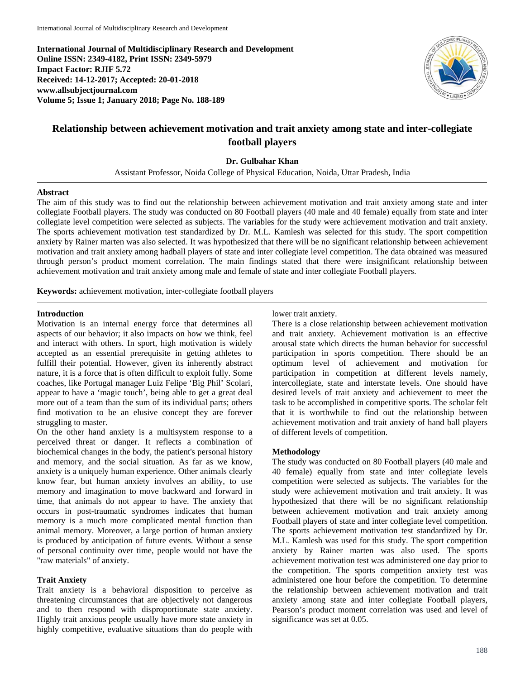**International Journal of Multidisciplinary Research and Development Online ISSN: 2349-4182, Print ISSN: 2349-5979 Impact Factor: RJIF 5.72 Received: 14-12-2017; Accepted: 20-01-2018 www.allsubjectjournal.com Volume 5; Issue 1; January 2018; Page No. 188-189**



# **Relationship between achievement motivation and trait anxiety among state and inter-collegiate football players**

**Dr. Gulbahar Khan**

Assistant Professor, Noida College of Physical Education, Noida, Uttar Pradesh, India

### **Abstract**

The aim of this study was to find out the relationship between achievement motivation and trait anxiety among state and inter collegiate Football players. The study was conducted on 80 Football players (40 male and 40 female) equally from state and inter collegiate level competition were selected as subjects. The variables for the study were achievement motivation and trait anxiety. The sports achievement motivation test standardized by Dr. M.L. Kamlesh was selected for this study. The sport competition anxiety by Rainer marten was also selected. It was hypothesized that there will be no significant relationship between achievement motivation and trait anxiety among hadball players of state and inter collegiate level competition. The data obtained was measured through person's product moment correlation. The main findings stated that there were insignificant relationship between achievement motivation and trait anxiety among male and female of state and inter collegiate Football players.

**Keywords:** achievement motivation, inter-collegiate football players

### **Introduction**

Motivation is an internal energy force that determines all aspects of our behavior; it also impacts on how we think, feel and interact with others. In sport, high motivation is widely accepted as an essential prerequisite in getting athletes to fulfill their potential. However, given its inherently abstract nature, it is a force that is often difficult to exploit fully. Some coaches, like Portugal manager Luiz Felipe 'Big Phil' Scolari, appear to have a 'magic touch', being able to get a great deal more out of a team than the sum of its individual parts; others find motivation to be an elusive concept they are forever struggling to master.

On the other hand anxiety is a multisystem response to a perceived threat or danger. It reflects a combination of biochemical changes in the body, the patient's personal history and memory, and the social situation. As far as we know, anxiety is a uniquely human experience. Other animals clearly know fear, but human anxiety involves an ability, to use memory and imagination to move backward and forward in time, that animals do not appear to have. The anxiety that occurs in post-traumatic syndromes indicates that human memory is a much more complicated mental function than animal memory. Moreover, a large portion of human anxiety is produced by anticipation of future events. Without a sense of personal continuity over time, people would not have the "raw materials" of anxiety.

# **Trait Anxiety**

Trait anxiety is a behavioral disposition to perceive as threatening circumstances that are objectively not dangerous and to then respond with disproportionate state anxiety. Highly trait anxious people usually have more state anxiety in highly competitive, evaluative situations than do people with lower trait anxiety.

There is a close relationship between achievement motivation and trait anxiety. Achievement motivation is an effective arousal state which directs the human behavior for successful participation in sports competition. There should be an optimum level of achievement and motivation for participation in competition at different levels namely, intercollegiate, state and interstate levels. One should have desired levels of trait anxiety and achievement to meet the task to be accomplished in competitive sports. The scholar felt that it is worthwhile to find out the relationship between achievement motivation and trait anxiety of hand ball players of different levels of competition.

## **Methodology**

The study was conducted on 80 Football players (40 male and 40 female) equally from state and inter collegiate levels competition were selected as subjects. The variables for the study were achievement motivation and trait anxiety. It was hypothesized that there will be no significant relationship between achievement motivation and trait anxiety among Football players of state and inter collegiate level competition. The sports achievement motivation test standardized by Dr. M.L. Kamlesh was used for this study. The sport competition anxiety by Rainer marten was also used. The sports achievement motivation test was administered one day prior to the competition. The sports competition anxiety test was administered one hour before the competition. To determine the relationship between achievement motivation and trait anxiety among state and inter collegiate Football players, Pearson's product moment correlation was used and level of significance was set at 0.05.